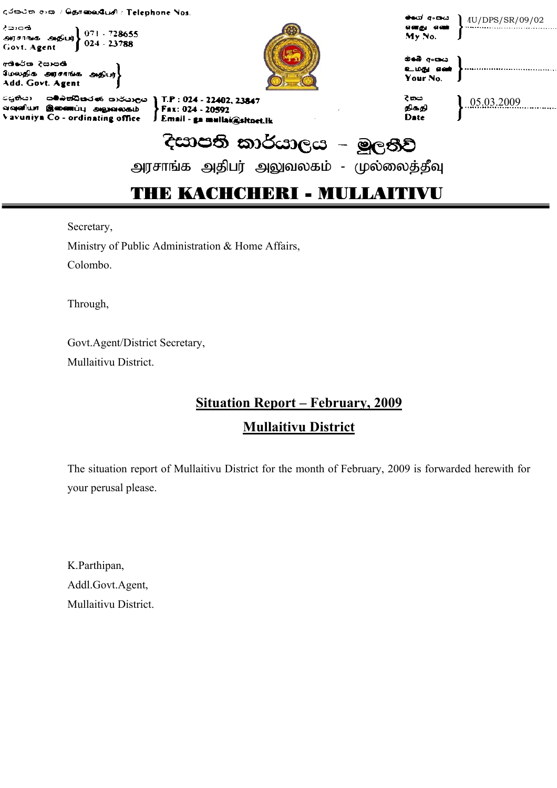| දුරකථන අංක / <del>සිළ</del> ුකොහරියේ / Telephone Nos.                                                                                                                             | ക്കാന് ദ്രേഖം                  |                 |
|-----------------------------------------------------------------------------------------------------------------------------------------------------------------------------------|--------------------------------|-----------------|
| ් පාරති.<br>அரசாங்க அதிபர் 071 - 728655<br>Govt. Agent 024 - 23788                                                                                                                | எனது எண்<br>My No.             | 4U/DPS/SR/09/02 |
| අශිරේක දියාපති<br>மேலதிக் அரசாங்க அதிபர்}<br>Add. Govt. Agent                                                                                                                     | കൈ പോസ<br>உமது எண்<br>Your No. |                 |
| ියුතියා - සම්බත්ධීකරණ කාර්යාලය § T.P : 024 - 22402, 23847<br>வவுளியா இணைப்பு அலுவலகம் <b>PFax: 024 - 20592</b><br>Vavuniya Co - ordinating office   J Email - ga mullai@sltnet.lk | දි කය<br>திக்தி<br>Date        | 0.5032009       |
| දිසාපති කාර්යාලය – මූලතිව්                                                                                                                                                        |                                |                 |
| அரசாங்க அதிபர் அலுவலகம் - முல்லைத்தீவு                                                                                                                                            |                                |                 |
|                                                                                                                                                                                   |                                |                 |

Secretary,

Ministry of Public Administration & Home Affairs, Colombo.

Through,

Govt.Agent/District Secretary, Mullaitivu District.

# **Situation Report – February, 2009 Mullaitivu District**

The situation report of Mullaitivu District for the month of February, 2009 is forwarded herewith for your perusal please.

K.Parthipan, Addl.Govt.Agent, Mullaitivu District.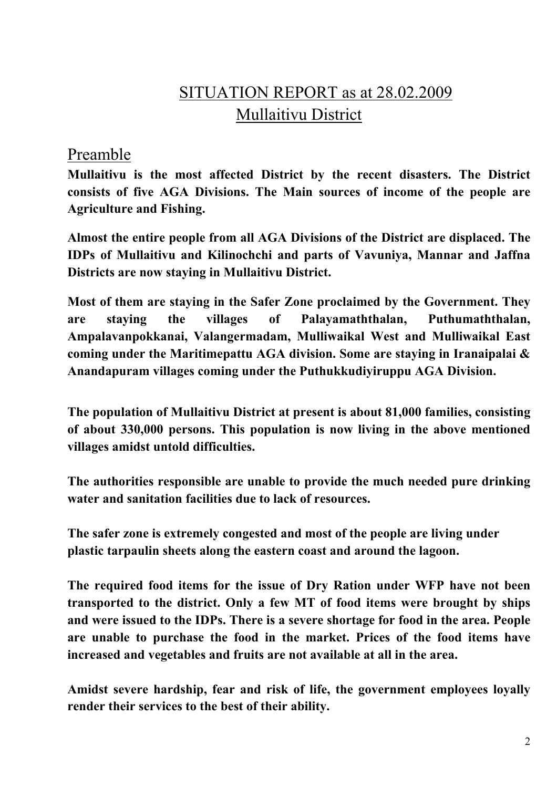# SITUATION REPORT as at 28.02.2009 Mullaitivu District

#### Preamble

**Mullaitivu is the most affected District by the recent disasters. The District consists of five AGA Divisions. The Main sources of income of the people are Agriculture and Fishing.** 

**Almost the entire people from all AGA Divisions of the District are displaced. The IDPs of Mullaitivu and Kilinochchi and parts of Vavuniya, Mannar and Jaffna Districts are now staying in Mullaitivu District.** 

**Most of them are staying in the Safer Zone proclaimed by the Government. They are staying the villages of Palayamaththalan, Puthumaththalan, Ampalavanpokkanai, Valangermadam, Mulliwaikal West and Mulliwaikal East coming under the Maritimepattu AGA division. Some are staying in Iranaipalai & Anandapuram villages coming under the Puthukkudiyiruppu AGA Division.** 

**The population of Mullaitivu District at present is about 81,000 families, consisting of about 330,000 persons. This population is now living in the above mentioned villages amidst untold difficulties.** 

**The authorities responsible are unable to provide the much needed pure drinking water and sanitation facilities due to lack of resources.** 

**The safer zone is extremely congested and most of the people are living under plastic tarpaulin sheets along the eastern coast and around the lagoon.** 

**The required food items for the issue of Dry Ration under WFP have not been transported to the district. Only a few MT of food items were brought by ships and were issued to the IDPs. There is a severe shortage for food in the area. People are unable to purchase the food in the market. Prices of the food items have increased and vegetables and fruits are not available at all in the area.** 

**Amidst severe hardship, fear and risk of life, the government employees loyally render their services to the best of their ability.**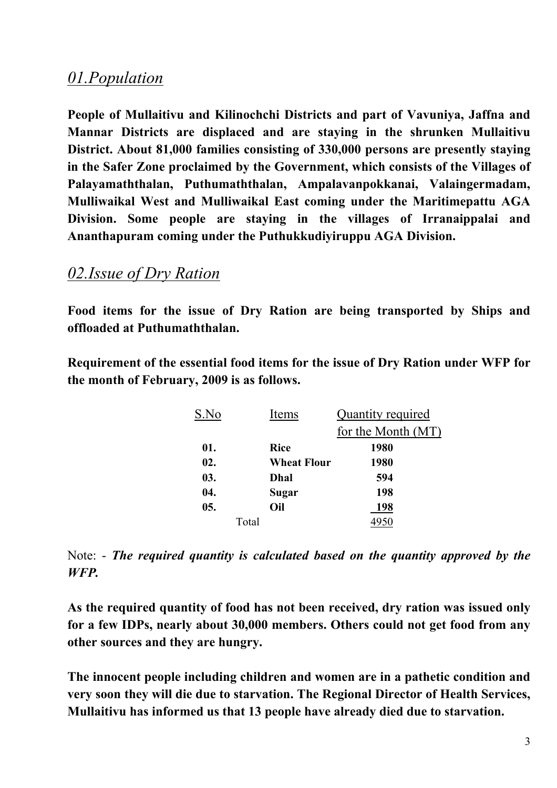### *01.Population*

**People of Mullaitivu and Kilinochchi Districts and part of Vavuniya, Jaffna and Mannar Districts are displaced and are staying in the shrunken Mullaitivu District. About 81,000 families consisting of 330,000 persons are presently staying in the Safer Zone proclaimed by the Government, which consists of the Villages of Palayamaththalan, Puthumaththalan, Ampalavanpokkanai, Valaingermadam, Mulliwaikal West and Mulliwaikal East coming under the Maritimepattu AGA Division. Some people are staying in the villages of Irranaippalai and Ananthapuram coming under the Puthukkudiyiruppu AGA Division.** 

#### *02.Issue of Dry Ration*

**Food items for the issue of Dry Ration are being transported by Ships and offloaded at Puthumaththalan.** 

**Requirement of the essential food items for the issue of Dry Ration under WFP for the month of February, 2009 is as follows.** 

| S.No | Items              | <b>Quantity required</b> |
|------|--------------------|--------------------------|
|      |                    | for the Month (MT)       |
| 01.  | <b>Rice</b>        | 1980                     |
| 02.  | <b>Wheat Flour</b> | 1980                     |
| 03.  | Dhal               | 594                      |
| 04.  | Sugar              | 198                      |
| 05.  | Oil                | 198                      |
|      | Total              |                          |

Note: - *The required quantity is calculated based on the quantity approved by the WFP.* 

**As the required quantity of food has not been received, dry ration was issued only for a few IDPs, nearly about 30,000 members. Others could not get food from any other sources and they are hungry.** 

**The innocent people including children and women are in a pathetic condition and very soon they will die due to starvation. The Regional Director of Health Services, Mullaitivu has informed us that 13 people have already died due to starvation.**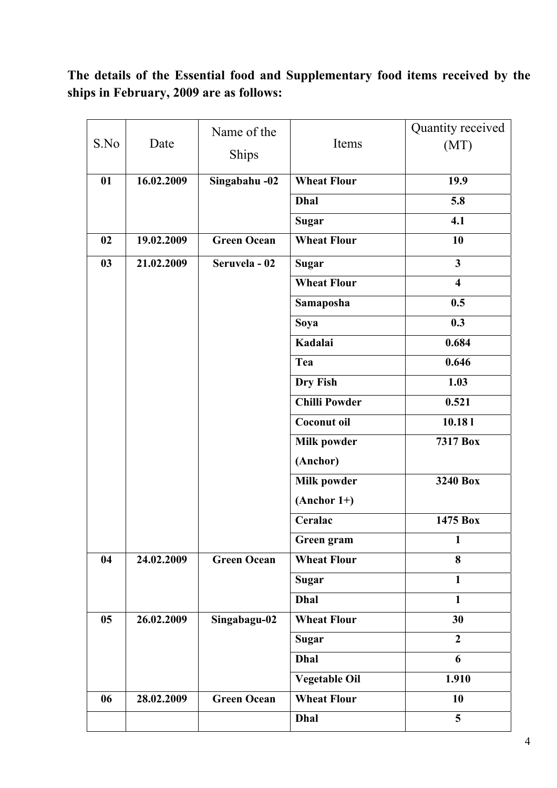### **The details of the Essential food and Supplementary food items received by the ships in February, 2009 are as follows:**

| S.No | Date       | Name of the<br>Ships | Items                | Quantity received<br>(MT) |
|------|------------|----------------------|----------------------|---------------------------|
| 01   | 16.02.2009 | Singabahu -02        | <b>Wheat Flour</b>   | 19.9                      |
|      |            |                      | <b>Dhal</b>          | 5.8                       |
|      |            |                      | <b>Sugar</b>         | 4.1                       |
| 02   | 19.02.2009 | <b>Green Ocean</b>   | <b>Wheat Flour</b>   | 10                        |
| 03   | 21.02.2009 | Seruvela - 02        | <b>Sugar</b>         | $\overline{\mathbf{3}}$   |
|      |            |                      | <b>Wheat Flour</b>   | $\overline{\mathbf{4}}$   |
|      |            |                      | Samaposha            | 0.5                       |
|      |            |                      | Soya                 | 0.3                       |
|      |            |                      | Kadalai              | 0.684                     |
|      |            |                      | Tea                  | 0.646                     |
|      |            |                      | Dry Fish             | 1.03                      |
|      |            |                      | <b>Chilli Powder</b> | 0.521                     |
|      |            |                      | Coconut oil          | 10.181                    |
|      |            |                      | <b>Milk powder</b>   | 7317 Box                  |
|      |            |                      | (Anchor)             |                           |
|      |            |                      | <b>Milk powder</b>   | 3240 Box                  |
|      |            |                      | $(Another 1+)$       |                           |
|      |            |                      | Ceralac              | 1475 Box                  |
|      |            |                      | Green gram           | $\mathbf{1}$              |
| 04   | 24.02.2009 | <b>Green Ocean</b>   | <b>Wheat Flour</b>   | 8                         |
|      |            |                      | <b>Sugar</b>         | $\mathbf{1}$              |
|      |            |                      | <b>Dhal</b>          | $\mathbf{1}$              |
| 05   | 26.02.2009 | Singabagu-02         | <b>Wheat Flour</b>   | 30                        |
|      |            |                      | <b>Sugar</b>         | $\overline{2}$            |
|      |            |                      | <b>Dhal</b>          | 6                         |
|      |            |                      | <b>Vegetable Oil</b> | 1.910                     |
| 06   | 28.02.2009 | <b>Green Ocean</b>   | <b>Wheat Flour</b>   | 10                        |
|      |            |                      | Dhal                 | 5                         |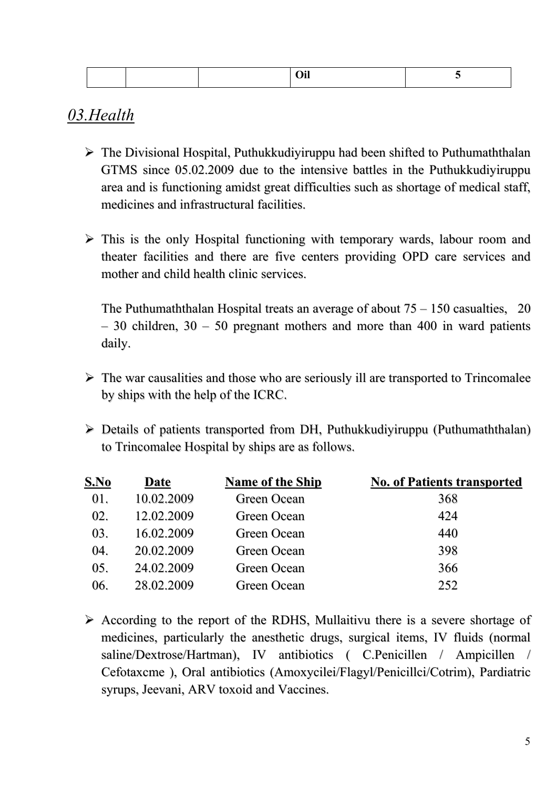|--|--|--|--|--|

### *03.Health*

- $\triangleright$  The Divisional Hospital, Puthukkudiyiruppu had been shifted to Puthumaththalan GTMS since 05.02.2009 due to the intensive battles in the Puthukkudiyiruppu area and is functioning amidst great difficulties such as shortage of medical staff, medicines and infrastructural facilities.
- $\triangleright$  This is the only Hospital functioning with temporary wards, labour room and theater facilities and there are five centers providing OPD care services and mother and child health clinic services.

The Puthumaththalan Hospital treats an average of about  $75 - 150$  casualties, 20 – 30 children, 30 – 50 pregnant mothers and more than 400 in ward patients daily.

- $\triangleright$  The war causalities and those who are seriously ill are transported to Trincomalee by ships with the help of the ICRC.
- ¾ Details of patients transported from DH, Puthukkudiyiruppu (Puthumaththalan) to Trincomalee Hospital by ships are as follows.

| S.No | Date       | <b>Name of the Ship</b> | <b>No. of Patients transported</b> |
|------|------------|-------------------------|------------------------------------|
| 01.  | 10.02.2009 | Green Ocean             | 368                                |
| 02.  | 12.02.2009 | Green Ocean             | 424                                |
| 03.  | 16.02.2009 | Green Ocean             | 440                                |
| 04.  | 20.02.2009 | Green Ocean             | 398                                |
| 05.  | 24.02.2009 | Green Ocean             | 366                                |
| 06.  | 28.02.2009 | Green Ocean             | 252                                |

 $\triangleright$  According to the report of the RDHS, Mullaitivu there is a severe shortage of medicines, particularly the anesthetic drugs, surgical items, IV fluids (normal saline/Dextrose/Hartman), IV antibiotics ( C.Penicillen / Ampicillen / Cefotaxcme ), Oral antibiotics (Amoxycilei/Flagyl/Penicillci/Cotrim), Pardiatric syrups, Jeevani, ARV toxoid and Vaccines.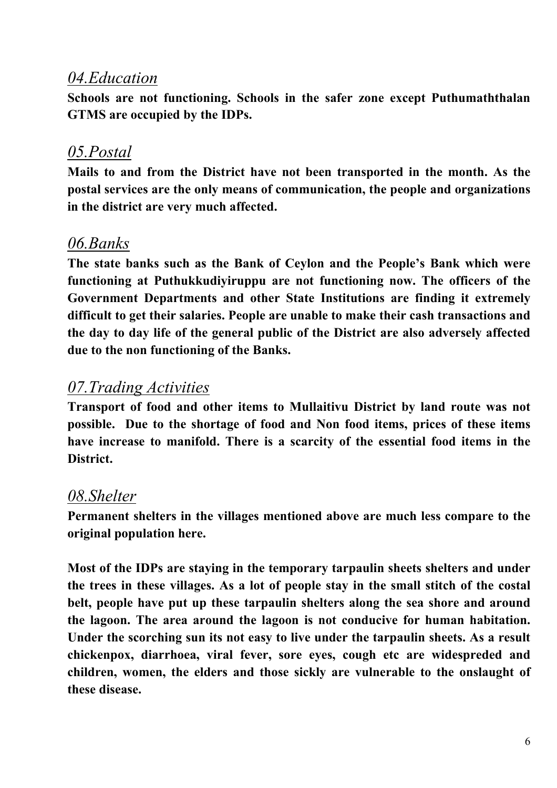### *04.Education*

**Schools are not functioning. Schools in the safer zone except Puthumaththalan GTMS are occupied by the IDPs.** 

## *05.Postal*

**Mails to and from the District have not been transported in the month. As the postal services are the only means of communication, the people and organizations in the district are very much affected.** 

## *06.Banks*

**The state banks such as the Bank of Ceylon and the People's Bank which were functioning at Puthukkudiyiruppu are not functioning now. The officers of the Government Departments and other State Institutions are finding it extremely difficult to get their salaries. People are unable to make their cash transactions and the day to day life of the general public of the District are also adversely affected due to the non functioning of the Banks.** 

# *07.Trading Activities*

**Transport of food and other items to Mullaitivu District by land route was not possible. Due to the shortage of food and Non food items, prices of these items have increase to manifold. There is a scarcity of the essential food items in the District.** 

## *08.Shelter*

**Permanent shelters in the villages mentioned above are much less compare to the original population here.** 

**Most of the IDPs are staying in the temporary tarpaulin sheets shelters and under the trees in these villages. As a lot of people stay in the small stitch of the costal belt, people have put up these tarpaulin shelters along the sea shore and around the lagoon. The area around the lagoon is not conducive for human habitation. Under the scorching sun its not easy to live under the tarpaulin sheets. As a result chickenpox, diarrhoea, viral fever, sore eyes, cough etc are widespreded and children, women, the elders and those sickly are vulnerable to the onslaught of these disease.**